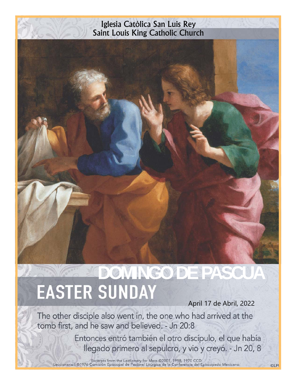# Iglesia Católica San Luis Rey Saint Louis King Catholic Church

# **DOMINGO DE PASCUA<br>EASTER SUNDAY**

April 17 de Abril, 2022

**©LPi** 

The other disciple also went in, the one who had arrived at the tomb first, and he saw and believed. - Jn 20:8

> Entonces entró también el otro discípulo, el que había llegado primero al sepulcro, y vio y creyó. - Jn 20, 8

Excerpts from the Lectionary for Mass ©2001, 1998, 1970 CCD.<br>Leccionario I ©1976 Comisión Episcopal de Pastoral Litúrgica de la Conferencia del Episcopado Mexicano.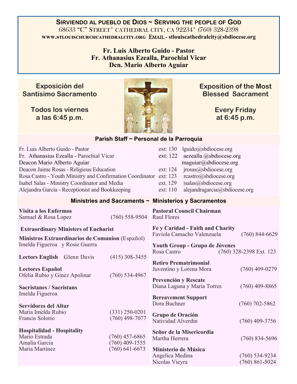**SIRVIENDO AL PUEBLO DE DIOS ~ SERVING THE PEOPLE OF GOD** 68633 "C" STREET\* CATHEDRAL CITY, CA 92234\* (760) 328-2398 **www.stlouischurchcathedralcity.org EMAIL - stlouiscathedralcity@sbdiocese.org** 

> **Fr. Luis Alberto Guido - Pastor Fr. Athanasius Ezealla, Parochial Vicar Dcn. Mario Alberto Aguiar**

## **Exposición del Santísimo Sacramento**

**Todos los viernes a las 6:45 p.m.** 



**Exposition of the Most Blessed Sacrament** 

> **Every Friday at 6:45 p.m.**

#### **Parish Staff ~ Personal de la Parroquia**

| Fr. Luis Alberto Guido - Pastor<br>Fr. Athanasius Ezealla - Parochial Vicar<br>Deacon Mario Alberto Aguiar<br>Deacon Jaime Rosas - Religious Education<br>Rosa Castro - Youth Ministry and Confirmation Coordinator ext: 123<br>Isabel Salas - Ministry Coordinator and Media |                                                          | ext: 130<br>lguido@sbdiocese.org<br>ext: 122<br>aezealla @sbdiocese.org<br>maguiar@sbdiocese.org<br>jrosas@sbdiocese.org<br>ext: 124<br>rcastro@sbdiocese.org<br>isalas@sbdiocese.org<br>ext. 129 |                                               |  |  |
|-------------------------------------------------------------------------------------------------------------------------------------------------------------------------------------------------------------------------------------------------------------------------------|----------------------------------------------------------|---------------------------------------------------------------------------------------------------------------------------------------------------------------------------------------------------|-----------------------------------------------|--|--|
| Alejandra Garcia - Receptionist and Bookkeeping                                                                                                                                                                                                                               |                                                          | ext: 110<br>alejandragarcia@sbdiocese.org                                                                                                                                                         |                                               |  |  |
| Ministries and Sacraments ~ Ministerios y Sacramentos                                                                                                                                                                                                                         |                                                          |                                                                                                                                                                                                   |                                               |  |  |
| Visita a los Enfermos<br>Samuel & Rosa Lopez                                                                                                                                                                                                                                  | $(760)$ 558-9504                                         | <b>Pastoral Council Chairman</b><br><b>Raul Flores</b>                                                                                                                                            |                                               |  |  |
| <b>Extraordinary Ministers of Eucharist</b><br>Ministros Extraordinarios de Comunion (Español)<br>Imelda Figueroa y Rosie Guerra                                                                                                                                              |                                                          | Fe y Caridad - Faith and Charity<br>Faviola Camacho Valenzuela<br>Youth Group - Grupo de Jóvenes<br>Rosa Castro                                                                                   | $(760)$ 844-6629<br>$(760)$ 328-2398 Ext. 123 |  |  |
| Lectors English Glenn Davis<br><b>Lectores Español</b><br>Ofelia Rubio y Ginez Apolinar                                                                                                                                                                                       | $(415)$ 308-3455<br>$(760)$ 534-4967                     | <b>Retiro Prematrimonial</b><br>Juventino y Lorena Mora                                                                                                                                           | $(760)$ 409-0279                              |  |  |
| <b>Sacristanes / Sacristans</b><br>Imelda Figueroa                                                                                                                                                                                                                            |                                                          | Prevención y Rescate<br>Diana Laguna y María Torres<br><b>Bereavement Support</b><br>Dora Buchner                                                                                                 | $(760)$ 409-8865<br>$(760)$ 702-5862          |  |  |
| <b>Servidores del Altar</b><br>Maria Imelda Rubio<br>Francis Solorio                                                                                                                                                                                                          | $(331)$ 250-0201<br>$(760)$ 498-7077                     | Grupo de Oración<br>Natividad Alverdin                                                                                                                                                            | $(760)$ 409-3756                              |  |  |
| <b>Hospitalidad - Hospitality</b><br>Mario Estrada<br>Amalia Garcia<br>Maria Martinez                                                                                                                                                                                         | $(760)$ 457-6865<br>$(760)$ 409-1555<br>$(760)$ 641-6673 | Señor de la Misericordia<br>Martha Herrera<br>Ministerio de Música                                                                                                                                | $(760)$ 834-5696                              |  |  |
|                                                                                                                                                                                                                                                                               |                                                          | Angelica Medina<br>Nicolas Vieyra                                                                                                                                                                 | $(760) 534-9234$<br>$(760) 861 - 5024$        |  |  |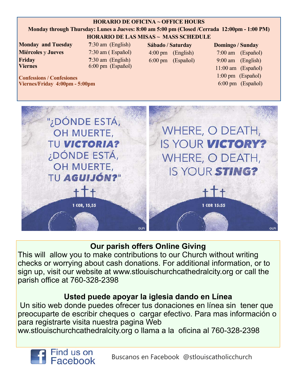#### **HORARIO DE OFICINA ~ OFFICE HOURS**

#### **Monday through Thursday: Lunes a Jueves: 8:00 am 5:00 pm (Closed /Cerrada 12:00pm - 1:00 PM) HORARIO DE LAS MISAS ~ MASS SCHEDULE**

**Monday and Tuesday 7**:30 am (English) **Miércoles** y **Jueves** 7:30 am ( Español) **Friday** 7:30 am (English) **Viernes** 6:00 pm (Español)

**Confessions / Confesiones** 

**Sábado / Saturday**  4:00 pm (English) 6:00 pm (Español)

#### **Domingo / Sunday**

 7:00 am (Español) 9:00 am (English) 11:00 am (Español) 1:00 pm (Español) 6:00 pm (Español)

**Viernes/Friday 4:00pm - 5:00pm**  "¿DÓNDE ESTÁ,

OH MUERTE,

TU VICTORIA?

¿DÓNDE ESTÁ,

OH MUERTE,

1 COR, 15,55

WHERE, O DEATH, IS YOUR VICTORY? **WHERE, O DEATH,** IS YOUR STING? TU AGUIJÓN?"

1 COR 15:55

# **Our parish offers Online Giving**

This will allow you to make contributions to our Church without writing checks or worrying about cash donations. For additional information, or to sign up, visit our website at www.stlouischurchcathedralcity.org or call the parish office at 760-328-2398

# **Usted puede apoyar la iglesia dando en Línea**

 Un sitio web donde puedes ofrecer tus donaciones en línea sin tener que preocuparte de escribir cheques o cargar efectivo. Para mas información o para registrarte visita nuestra pagina Web

ww.stlouischurchcathedralcity.org o llama a la oficina al 760-328-2398

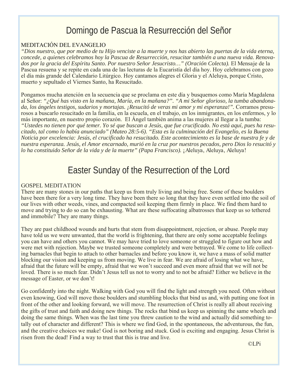# Domingo de Pascua la Resurrección del Señor

#### MEDITACIÓN DEL EVANGELIO

*"Dios nuestro, que por medio de tu Hijo venciste a la muerte y nos has abierto las puertas de la vida eterna, concede, a quienes celebramos hoy la Pascua de Resurrección, resucitar también a una nueva vida. Renova*dos por la gracia del Espíritu Santo. Por nuestro Señor Jesucristo..." (Oración Colecta). El Mensaje de la Pascua resuena y se repite en cada una de las lecturas de la Eucaristía del día hoy. Hoy celebramos con gozo el día más grande del Calendario Litúrgico. Hoy cantamos alegres el Gloria y el Aleluya, porque Cristo, muerto y sepultado el Viernes Santo, ha Resucitado.

Pongamos mucha atención en la secuencia que se proclama en este día y busquemos como María Magdalena al Señor: *"¿Qué has visto en la mañana, María, en la mañana?". "A mi Señor glorioso, la tumba abandonada, los ángeles testigos, sudarios y mortajas. ¡Resucitó de veras mi amor y mi esperanza!".* Corramos presurosos a buscarlo resucitado en la familia, en la escuela, en el trabajo, en los inmigrantes, en los enfermos, y lo más importante, en nuestro propio corazón. El Ángel también anima a las mujeres al llegar a la tumba: *"Ustedes no tienen por qué temer. Yo sé que buscan a Jesús, que fue crucificado. No está aquí, pues ha resucitado, tal como lo había anunciado" (Mateo 28:5-6). "Esta es la culminación del Evangelio, es la Buena Noticia por excelencia: Jesús, el crucificado ha resucitado. Este acontecimiento es la base de nuestra fe y de nuestra esperanza. Jesús, el Amor encarnado, murió en la cruz por nuestros pecados, pero Dios lo resucitó y lo ha constituido Señor de la vida y de la muerte" (Papa Francisco).* ¡Aleluya, Aleluya, Aleluya!

# Easter Sunday of the Resurrection of the Lord

#### GOSPEL MEDITATION

There are many stones in our paths that keep us from truly living and being free. Some of these boulders have been there for a very long time. They have been there so long that they have even settled into the soil of our lives with other weeds, vines, and compacted soil keeping them firmly in place. We find them hard to move and trying to do so can be exhausting. What are these suffocating albatrosses that keep us so tethered and immobile? They are many things.

They are past childhood wounds and hurts that stem from disappointment, rejection, or abuse. People may have told us we were unwanted, that the world is frightening, that there are only some acceptable feelings you can have and others you cannot. We may have tried to love someone or struggled to figure out how and were met with rejection. Maybe we trusted someone completely and were betrayed. We come to life collecting barnacles that begin to attach to other barnacles and before you know it, we have a mass of solid matter blocking our vision and keeping us from moving. We live in fear. We are afraid of losing what we have, afraid that the future will be empty, afraid that we won't succeed and even more afraid that we will not be loved. There is so much fear. Didn't Jesus tell us not to worry and to not be afraid? Either we believe in the message of Easter, or we don't!

Go confidently into the night. Walking with God you will find the light and strength you need. Often without even knowing, God will move those boulders and stumbling blocks that bind us and, with putting one foot in front of the other and looking forward, we will move. The resurrection of Christ is really all about receiving the gifts of trust and faith and doing new things. The rocks that bind us keep us spinning the same wheels and doing the same things. When was the last time you threw caution to the wind and actually did something totally out of character and different? This is where we find God, in the spontaneous, the adventurous, the fun, and the creative choices we make! God is not boring and stuck. God is exciting and engaging. Jesus Christ is risen from the dead! Find a way to trust that this is true and live.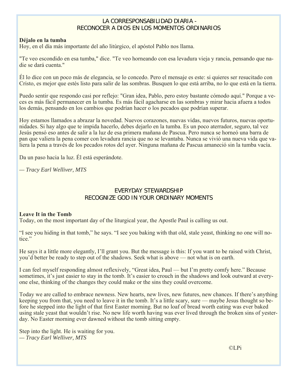#### LA CORRESPONSABILIDAD DIARIA - RECONOCER A DIOS EN LOS MOMENTOS ORDINARIOS

#### **Déjalo en la tumba**

Hoy, en el día más importante del año litúrgico, el apóstol Pablo nos llama.

"Te veo escondido en esa tumba," dice. "Te veo horneando con esa levadura vieja y rancia, pensando que nadie se dará cuenta."

Él lo dice con un poco más de elegancia, se lo concedo. Pero el mensaje es este: si quieres ser resucitado con Cristo, es mejor que estés listo para salir de las sombras. Busquen lo que está arriba, no lo que está en la tierra.

Puedo sentir que respondo casi por reflejo: "Gran idea, Pablo, pero estoy bastante cómodo aquí." Porque a veces es más fácil permanecer en la tumba. Es más fácil agacharse en las sombras y mirar hacia afuera a todos los demás, pensando en los cambios que podrían hacer o los pecados que podrían superar.

Hoy estamos llamados a abrazar la novedad. Nuevos corazones, nuevas vidas, nuevos futuros, nuevas oportunidades. Si hay algo que te impida hacerlo, debes dejarlo en la tumba. Es un poco aterrador, seguro, tal vez Jesús pensó eso antes de salir a la luz de esa primera mañana de Pascua. Pero nunca se horneó una barra de pan que valiera la pena comer con levadura rancia que no se levantaba. Nunca se vivió una nueva vida que valiera la pena a través de los pecados rotos del ayer. Ninguna mañana de Pascua amaneció sin la tumba vacía.

Da un paso hacia la luz. Él está esperándote.

*— Tracy Earl Welliver, MTS* 

#### EVERYDAY STEWARDSHIP RECOGNIZE GOD IN YOUR ORDINARY MOMENTS

#### **Leave It in the Tomb**

Today, on the most important day of the liturgical year, the Apostle Paul is calling us out.

"I see you hiding in that tomb," he says. "I see you baking with that old, stale yeast, thinking no one will notice."

He says it a little more elegantly, I'll grant you. But the message is this: If you want to be raised with Christ, you'd better be ready to step out of the shadows. Seek what is above — not what is on earth.

I can feel myself responding almost reflexively, "Great idea, Paul — but I'm pretty comfy here." Because sometimes, it's just easier to stay in the tomb. It's easier to crouch in the shadows and look outward at everyone else, thinking of the changes they could make or the sins they could overcome.

Today we are called to embrace newness. New hearts, new lives, new futures, new chances. If there's anything keeping you from that, you need to leave it in the tomb. It's a little scary, sure — maybe Jesus thought so before he stepped into the light of that first Easter morning. But no loaf of bread worth eating was ever baked using stale yeast that wouldn't rise. No new life worth having was ever lived through the broken sins of yesterday. No Easter morning ever dawned without the tomb sitting empty.

Step into the light. He is waiting for you. *— Tracy Earl Welliver, MTS* 

©LPi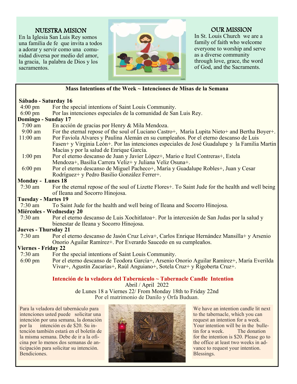#### NUESTRA MISION

En la Iglesia San Luis Rey somos una familia de fe que invita a todos a adorar y servir como una comunidad diversa por medio del amor, la gracia, la palabra de Dios y los sacramentos.



#### OUR MISSION

In St. Louis Church we are a family of faith who welcome everyone to worship and serve as a diverse community through love, grace, the word of God, and the Sacraments.

#### **Mass Intentions of the Week ~ Intenciones de Misas de la Semana**

#### **Sábado - Saturday 16**

| Sabado - Saturday 16        |                                                                                                     |  |  |
|-----------------------------|-----------------------------------------------------------------------------------------------------|--|--|
| $4:00 \text{ pm}$           | For the special intentions of Saint Louis Community.                                                |  |  |
| $6:00 \text{ pm}$           | Por las intenciones especiales de la comunidad de San Luis Rey.                                     |  |  |
| Domingo - Sunday 17         |                                                                                                     |  |  |
| $7:00$ am                   | En acción de gracias por Henry & Mila Mendoza.                                                      |  |  |
| $9:00$ am                   | For the eternal repose of the soul of Luciano Castro+, María Lupita Nieto+ and Bertha Boyer+.       |  |  |
| $11:00$ am                  | Por Faviola Alvares y Paulina Alemán en su cumpleaños. Por el eterno descanso de Luis               |  |  |
|                             | Fasen+ y Virginia León+. Por las intenciones especiales de José Guadalupe y la Familia Martin       |  |  |
|                             | Macías y por la salud de Enrique García.                                                            |  |  |
| $1:00$ pm                   | Por el eterno descanso de Juan y Javier López+, Mario e Itzel Contreras+, Estela                    |  |  |
|                             | Mendoza+, Basilia Carrera Veliz+ y Juliana Veliz Osuna+.                                            |  |  |
| $6:00 \text{ pm}$           | Por el eterno descanso de Miguel Pacheco+, María y Guadalupe Robles+, Juan y Cesar                  |  |  |
|                             | Rodríguez+ y Pedro Basilio González Ferrer+.                                                        |  |  |
| <b>Monday - Lunes 18</b>    |                                                                                                     |  |  |
| $7:30$ am                   | For the eternal repose of the soul of Lizette Flores +. To Saint Jude for the health and well being |  |  |
|                             | of Ileana and Socorro Hinojosa.                                                                     |  |  |
| <b>Tuesday - Martes 19</b>  |                                                                                                     |  |  |
| $7:30$ am                   | To Saint Jude for the health and well being of Ileana and Socorro Hinojosa.                         |  |  |
|                             | Miércoles - Wednesday 20                                                                            |  |  |
| $7:30$ am                   | Por el eterno descanso de Luis Xochitlatoa+. Por la intercesión de San Judas por la salud y         |  |  |
|                             | bienestar de Ileana y Socorro Hinojosa.                                                             |  |  |
| <b>Jueves - Thursday 21</b> |                                                                                                     |  |  |
| $7:30$ am                   | Por el eterno descanso de Jasón Cruz Leiva+, Carlos Enrique Hernández Mansilla+ y Arsenio           |  |  |
|                             | Onorio Aguilar Ramírez+. Por Everardo Saucedo en su cumpleaños.                                     |  |  |
| <b>Viernes - Friday 22</b>  |                                                                                                     |  |  |
| $7:30$ am                   | For the special intentions of Saint Louis Community.                                                |  |  |
| $6:00 \text{ pm}$           | Por el eterno descanso de Teodora García+, Arsenio Onorio Aguilar Ramírez+, María Everilda          |  |  |
|                             | Vivar+, Agustín Zacarías+, Raúl Anguiano+, Sotela Cruz+ y Rigoberta Cruz+.                          |  |  |
|                             |                                                                                                     |  |  |

#### **Intención de la veladora del Tabernáculo ~ Tabernacle Candle Intention**

Abril / April 2022

de Lunes 18 a Viernes 22/ From Monday 18th to Friday 22nd Por el matrimonio de Danilo y Orfa Buduan.

Para la veladora del tabernáculo para intenciones usted puede solicitar una intención por una semana, la donación<br>por la intención es de \$20. Su inintención es de \$20. Su intención también estará en el boletín de la misma semana. Debe de ir a la oficina por lo menos dos semanas de anticipación para solicitar su intención. Bendiciones.



We have an intention candle lit next to the tabernacle, which you can request an intention for a week. Your intention will be in the bulletin for a week. The donation for the intention is \$20. Please go to the office at least two weeks in advance to request your intention. Blessings.